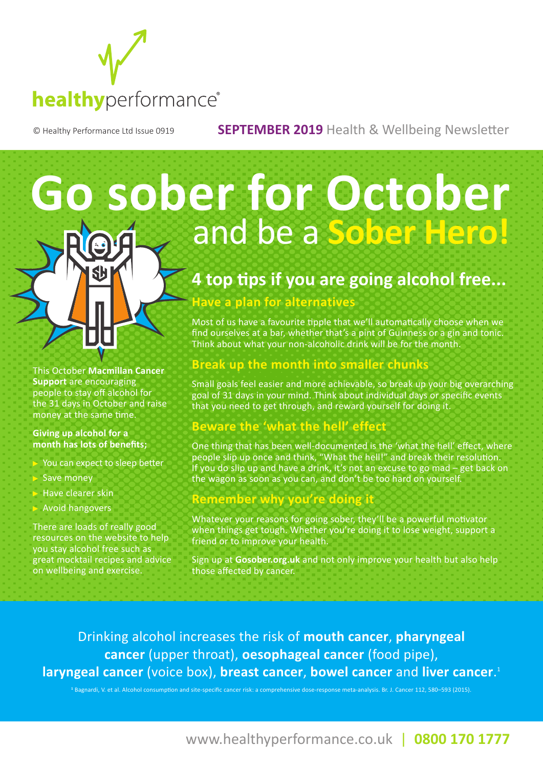

© Healthy Performance Ltd Issue 0919 **SEPTEMBER 2019** Health & Wellbeing Newsletter

# **Go sober for October** and be a **Sober Hero!**

# **4 top tips if you are going alcohol free...**

#### **Have a plan for alternatives**

Most of us have a favourite tipple that we'll automatically choose when we find ourselves at a bar, whether that's a pint of Guinness or a gin and tonic. Think about what your non-alcoholic drink will be for the month.

### **Break up the month into smaller chunks**

Small goals feel easier and more achievable, so break up your big overarching goal of 31 days in your mind. Think about individual days or specific events that you need to get through, and reward yourself for doing it.

### **Beware the 'what the hell' effect**

One thing that has been well-documented is the 'what the hell' effect, where people slip up once and think, "What the hell!" and break their resolution. If you do slip up and have a drink, it's not an excuse to go mad – get back on the wagon as soon as you can, and don't be too hard on yourself.

#### **Remember why you're doing it**

Whatever your reasons for going sober, they'll be a powerful motivator when things get tough. Whether you're doing it to lose weight, support a friend or to improve your health.

Sign up at **Gosober.org.uk** and not only improve your health but also help those affected by cancer.

Drinking alcohol increases the risk of **mouth cancer**, **pharyngeal cancer** (upper throat), **oesophageal cancer** (food pipe), **laryngeal cancer** (voice box), **breast cancer**, **bowel cancer** and **liver cancer**. 1

**1** Bagnardi, V. et al. Alcohol consumption and site-specific cancer risk: a comprehensive dose-response meta-analysis. Br. J. Cancer 112, 580–593 (2015).

This October **Macmillan Cancer Support** are encouraging people to stay off alcohol for the 31 days in October and raise money at the same time.

#### **Giving up alcohol for a month has lots of benefits;**

- You can expect to sleep better
- Save money
- Have clearer skin
- Avoid hangovers

There are loads of really good resources on the website to help you stay alcohol free such as great mocktail recipes and advice on wellbeing and exercise.